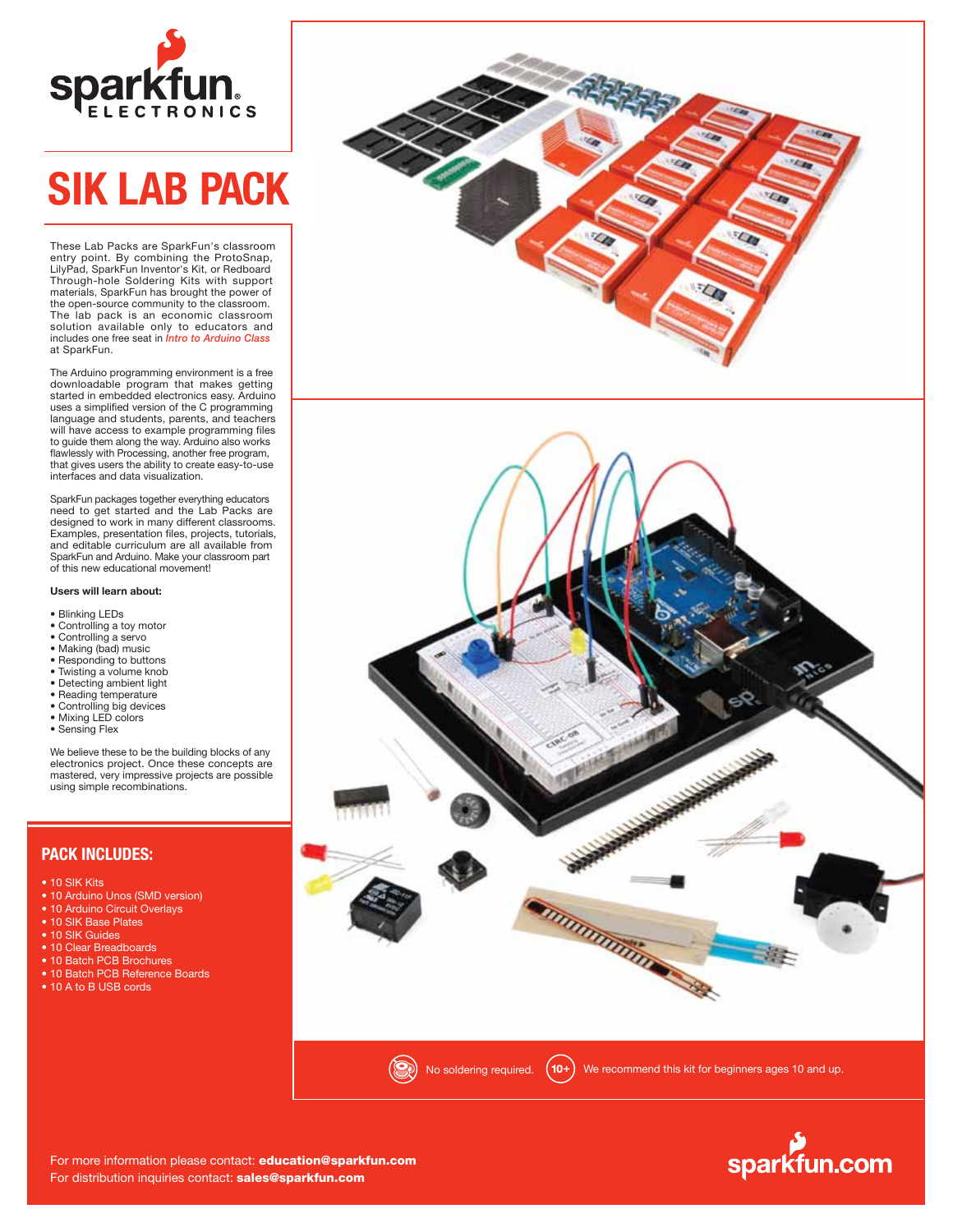

# **SIK LAB PACK**

These Lab Packs are SparkFun's classroom entry point. By combining the ProtoSnap, LilyPad, SparkFun Inventor's Kit, or Redboard Through-hole Soldering Kits with support materials, SparkFun has brought the power of the open-source community to the classroom. The lab pack is an economic classroom solution available only to educators and includes one free seat in *Intro to Arduino Class* at SparkFun.

The Arduino programming environment is a free downloadable program that makes getting started in embedded electronics easy. Arduino uses a simplified version of the C programming language and students, parents, and teachers will have access to example programming files to guide them along the way. Arduino also works flawlessly with Processing, another free program, that gives users the ability to create easy-to-use interfaces and data visualization.

SparkFun packages together everything educators need to get started and the Lab Packs are designed to work in many different classrooms. Examples, presentation files, projects, tutorials, and editable curriculum are all available from SparkFun and Arduino. Make your classroom part of this new educational movement!

### **Users will learn about:**

- Blinking LEDs
- Controlling a toy motor
- 
- Controlling a servo Making (bad) music
- Responding to buttons
- Twisting a volume knob
- Detecting ambient light
- Reading temperature
- Controlling big devices • Mixing LED colors
- Sensing Flex
- 

We believe these to be the building blocks of any electronics project. Once these concepts are mastered, very impressive projects are possible using simple recombinations.

## **PACK INCLUDES:**

- 10 SIK Kits
- 10 Arduino Unos (SMD version)
- 10 Arduino Circuit Overlays
- 10 SIK Base Plates
- 10 SIK Guides
- 10 Clear Breadboards
- 10 Batch PCB Brochures
- 10 Batch PCB Reference Boards
- 10 A to B USB cords



sparkfun.com